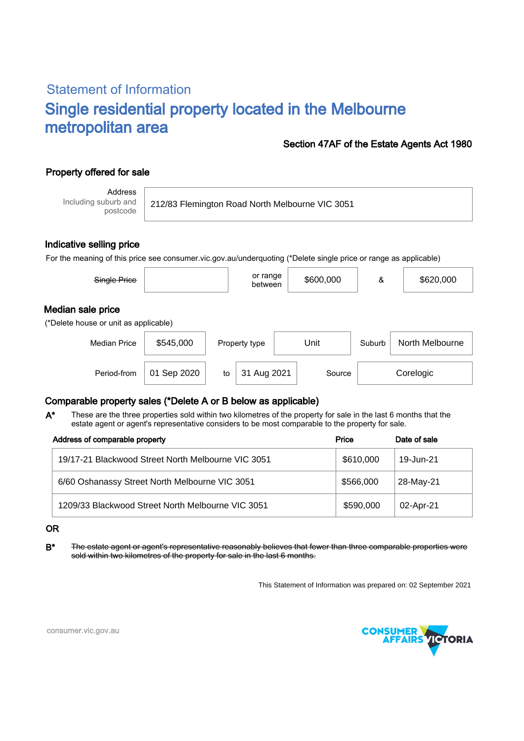# Statement of Information Single residential property located in the Melbourne metropolitan area

### Section 47AF of the Estate Agents Act 1980

## Property offered for sale

Address Including suburb and postcode

212/83 Flemington Road North Melbourne VIC 3051

#### Indicative selling price

For the meaning of this price see consumer.vic.gov.au/underquoting (\*Delete single price or range as applicable)

| Single Price                                               |           |               | or range<br>\$600,000<br>between |        | \$620,000       |  |
|------------------------------------------------------------|-----------|---------------|----------------------------------|--------|-----------------|--|
| Median sale price<br>(*Delete house or unit as applicable) |           |               |                                  |        |                 |  |
| <b>Median Price</b>                                        | \$545,000 | Property type | Unit                             | Suburb | North Melbourne |  |

## Comparable property sales (\*Delete A or B below as applicable)

These are the three properties sold within two kilometres of the property for sale in the last 6 months that the estate agent or agent's representative considers to be most comparable to the property for sale. A\*

Period-from to Source

| Address of comparable property                     | Price     | Date of sale |  |
|----------------------------------------------------|-----------|--------------|--|
| 19/17-21 Blackwood Street North Melbourne VIC 3051 | \$610,000 | 19-Jun-21    |  |
| 6/60 Oshanassy Street North Melbourne VIC 3051     | \$566,000 | 28-May-21    |  |
| 1209/33 Blackwood Street North Melbourne VIC 3051  | \$590,000 | 02-Apr-21    |  |

#### OR

B<sup>\*</sup> The estate agent or agent's representative reasonably believes that fewer than three comparable properties were sold within two kilometres of the property for sale in the last 6 months.

This Statement of Information was prepared on: 02 September 2021

31 Aug 2021 Source Corelogic



consumer.vic.gov.au